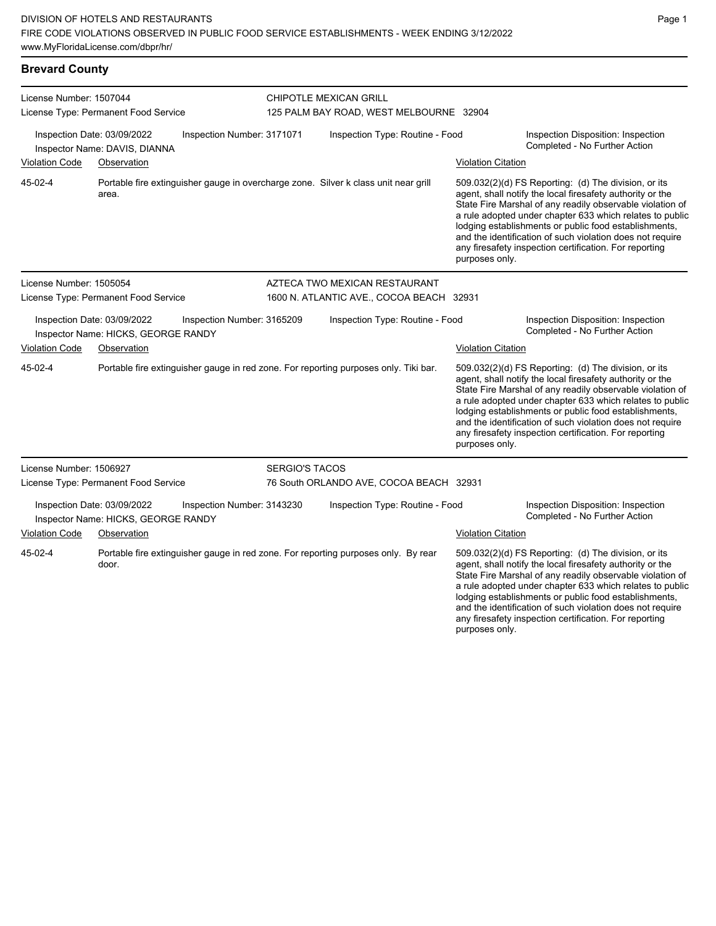# **Brevard County** License Number: 1507044 License Type: Permanent Food Service

CHIPOTLE MEXICAN GRILL 125 PALM BAY ROAD, WEST MELBOURNE 32904

| Inspection Date: 03/09/2022 | Inspector Name: DAVIS, DIANNA        | Inspection Number: 3171071 |                       | Inspection Type: Routine - Food                                                      |                           | Inspection Disposition: Inspection<br>Completed - No Further Action                                                                                                                                                                                                                                                                                                                                                        |
|-----------------------------|--------------------------------------|----------------------------|-----------------------|--------------------------------------------------------------------------------------|---------------------------|----------------------------------------------------------------------------------------------------------------------------------------------------------------------------------------------------------------------------------------------------------------------------------------------------------------------------------------------------------------------------------------------------------------------------|
| <b>Violation Code</b>       | Observation                          |                            |                       |                                                                                      | <b>Violation Citation</b> |                                                                                                                                                                                                                                                                                                                                                                                                                            |
| 45-02-4                     | area.                                |                            |                       | Portable fire extinguisher gauge in overcharge zone. Silver k class unit near grill  | purposes only.            | 509.032(2)(d) FS Reporting: (d) The division, or its<br>agent, shall notify the local firesafety authority or the<br>State Fire Marshal of any readily observable violation of<br>a rule adopted under chapter 633 which relates to public<br>lodging establishments or public food establishments,<br>and the identification of such violation does not require<br>any firesafety inspection certification. For reporting |
| License Number: 1505054     |                                      |                            |                       | AZTECA TWO MEXICAN RESTAURANT                                                        |                           |                                                                                                                                                                                                                                                                                                                                                                                                                            |
|                             | License Type: Permanent Food Service |                            |                       | 1600 N. ATLANTIC AVE., COCOA BEACH 32931                                             |                           |                                                                                                                                                                                                                                                                                                                                                                                                                            |
| Inspection Date: 03/09/2022 | Inspector Name: HICKS, GEORGE RANDY  | Inspection Number: 3165209 |                       | Inspection Type: Routine - Food                                                      |                           | Inspection Disposition: Inspection<br>Completed - No Further Action                                                                                                                                                                                                                                                                                                                                                        |
| <b>Violation Code</b>       | Observation                          |                            |                       |                                                                                      | <b>Violation Citation</b> |                                                                                                                                                                                                                                                                                                                                                                                                                            |
| 45-02-4                     |                                      |                            |                       | Portable fire extinguisher gauge in red zone. For reporting purposes only. Tiki bar. | purposes only.            | 509.032(2)(d) FS Reporting: (d) The division, or its<br>agent, shall notify the local firesafety authority or the<br>State Fire Marshal of any readily observable violation of<br>a rule adopted under chapter 633 which relates to public<br>lodging establishments or public food establishments,<br>and the identification of such violation does not require<br>any firesafety inspection certification. For reporting |
| License Number: 1506927     |                                      |                            | <b>SERGIO'S TACOS</b> |                                                                                      |                           |                                                                                                                                                                                                                                                                                                                                                                                                                            |
|                             | License Type: Permanent Food Service |                            |                       | 76 South ORLANDO AVE, COCOA BEACH 32931                                              |                           |                                                                                                                                                                                                                                                                                                                                                                                                                            |
| Inspection Date: 03/09/2022 | Inspector Name: HICKS, GEORGE RANDY  | Inspection Number: 3143230 |                       | Inspection Type: Routine - Food                                                      |                           | Inspection Disposition: Inspection<br>Completed - No Further Action                                                                                                                                                                                                                                                                                                                                                        |
| <b>Violation Code</b>       | Observation                          |                            |                       |                                                                                      | <b>Violation Citation</b> |                                                                                                                                                                                                                                                                                                                                                                                                                            |
| 45-02-4                     | door.                                |                            |                       | Portable fire extinguisher gauge in red zone. For reporting purposes only. By rear   |                           | 509.032(2)(d) FS Reporting: (d) The division, or its<br>agent, shall notify the local firesafety authority or the<br>State Fire Marshal of any readily observable violation of<br>a rule adopted under chapter 633 which relates to public<br>lodging establishments or public food establishments,<br>and the identification of such violation does not require                                                           |

any firesafety inspection certification. For reporting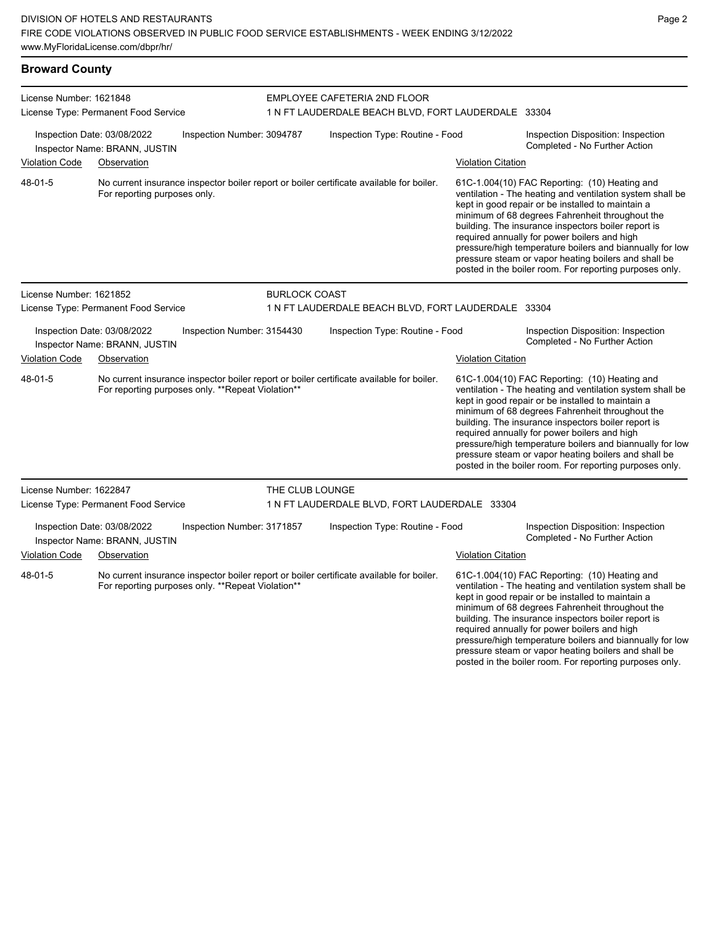| <b>Broward County</b>   |                                                                                                                                               |                      |                                                     |                           |                                                                                                                                                                                                                                                                                                                                                                                                                                                                                                          |
|-------------------------|-----------------------------------------------------------------------------------------------------------------------------------------------|----------------------|-----------------------------------------------------|---------------------------|----------------------------------------------------------------------------------------------------------------------------------------------------------------------------------------------------------------------------------------------------------------------------------------------------------------------------------------------------------------------------------------------------------------------------------------------------------------------------------------------------------|
| License Number: 1621848 |                                                                                                                                               |                      | EMPLOYEE CAFETERIA 2ND FLOOR                        |                           |                                                                                                                                                                                                                                                                                                                                                                                                                                                                                                          |
|                         | License Type: Permanent Food Service                                                                                                          |                      | 1 N FT LAUDERDALE BEACH BLVD, FORT LAUDERDALE 33304 |                           |                                                                                                                                                                                                                                                                                                                                                                                                                                                                                                          |
|                         | Inspection Date: 03/08/2022<br>Inspection Number: 3094787<br>Inspector Name: BRANN, JUSTIN                                                    |                      | Inspection Type: Routine - Food                     |                           | Inspection Disposition: Inspection<br>Completed - No Further Action                                                                                                                                                                                                                                                                                                                                                                                                                                      |
| <b>Violation Code</b>   | Observation                                                                                                                                   |                      |                                                     | <b>Violation Citation</b> |                                                                                                                                                                                                                                                                                                                                                                                                                                                                                                          |
| 48-01-5                 | No current insurance inspector boiler report or boiler certificate available for boiler.<br>For reporting purposes only.                      |                      |                                                     |                           | 61C-1.004(10) FAC Reporting: (10) Heating and<br>ventilation - The heating and ventilation system shall be<br>kept in good repair or be installed to maintain a<br>minimum of 68 degrees Fahrenheit throughout the<br>building. The insurance inspectors boiler report is<br>required annually for power boilers and high<br>pressure/high temperature boilers and biannually for low<br>pressure steam or vapor heating boilers and shall be<br>posted in the boiler room. For reporting purposes only. |
| License Number: 1621852 | License Type: Permanent Food Service                                                                                                          | <b>BURLOCK COAST</b> | 1 N FT LAUDERDALE BEACH BLVD, FORT LAUDERDALE 33304 |                           |                                                                                                                                                                                                                                                                                                                                                                                                                                                                                                          |
|                         | Inspection Date: 03/08/2022<br>Inspection Number: 3154430<br>Inspector Name: BRANN, JUSTIN                                                    |                      | Inspection Type: Routine - Food                     |                           | Inspection Disposition: Inspection<br>Completed - No Further Action                                                                                                                                                                                                                                                                                                                                                                                                                                      |
| <b>Violation Code</b>   | Observation                                                                                                                                   |                      |                                                     | <b>Violation Citation</b> |                                                                                                                                                                                                                                                                                                                                                                                                                                                                                                          |
| 48-01-5                 | No current insurance inspector boiler report or boiler certificate available for boiler.<br>For reporting purposes only. **Repeat Violation** |                      |                                                     |                           | 61C-1.004(10) FAC Reporting: (10) Heating and<br>ventilation - The heating and ventilation system shall be<br>kept in good repair or be installed to maintain a<br>minimum of 68 degrees Fahrenheit throughout the<br>building. The insurance inspectors boiler report is<br>required annually for power boilers and high<br>pressure/high temperature boilers and biannually for low<br>pressure steam or vapor heating boilers and shall be<br>posted in the boiler room. For reporting purposes only. |
| License Number: 1622847 |                                                                                                                                               | THE CLUB LOUNGE      |                                                     |                           |                                                                                                                                                                                                                                                                                                                                                                                                                                                                                                          |
|                         | License Type: Permanent Food Service                                                                                                          |                      | 1 N FT LAUDERDALE BLVD, FORT LAUDERDALE 33304       |                           |                                                                                                                                                                                                                                                                                                                                                                                                                                                                                                          |
|                         | Inspection Date: 03/08/2022<br>Inspection Number: 3171857<br>Inspector Name: BRANN, JUSTIN                                                    |                      | Inspection Type: Routine - Food                     |                           | Inspection Disposition: Inspection<br>Completed - No Further Action                                                                                                                                                                                                                                                                                                                                                                                                                                      |
| <b>Violation Code</b>   | Observation                                                                                                                                   |                      |                                                     | <b>Violation Citation</b> |                                                                                                                                                                                                                                                                                                                                                                                                                                                                                                          |
| 48-01-5                 | No current insurance inspector boiler report or boiler certificate available for boiler.<br>For reporting purposes only. **Repeat Violation** |                      |                                                     |                           | 61C-1.004(10) FAC Reporting: (10) Heating and<br>ventilation - The heating and ventilation system shall be<br>kept in good repair or be installed to maintain a                                                                                                                                                                                                                                                                                                                                          |

minimum of 68 degrees Fahrenheit throughout the building. The insurance inspectors boiler report is required annually for power boilers and high pressure/high temperature boilers and biannually for low pressure steam or vapor heating boilers and shall be posted in the boiler room. For reporting purposes only.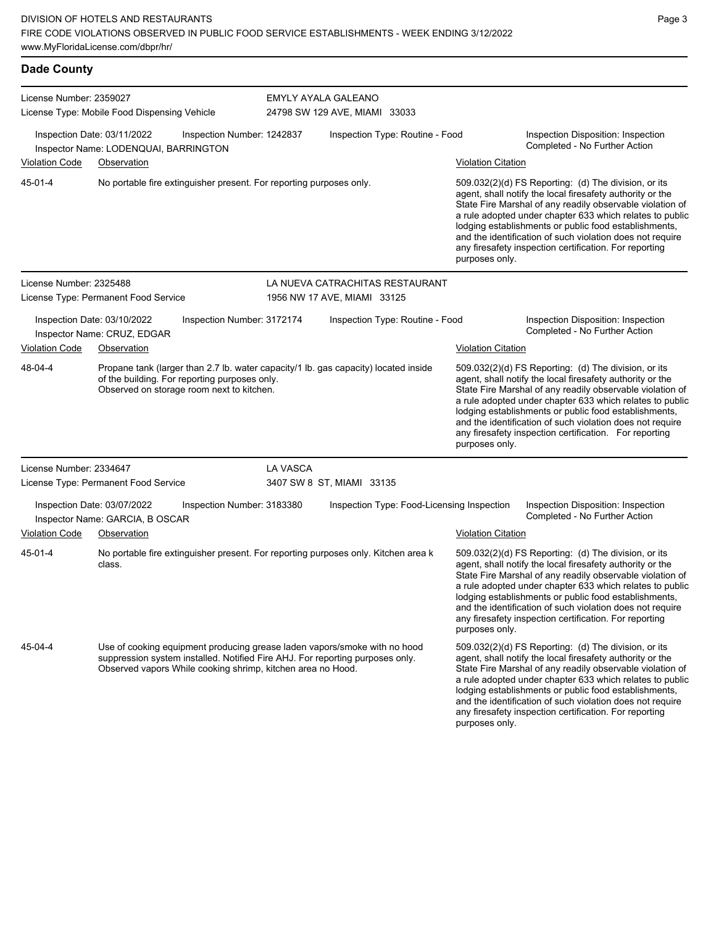| <b>Dade County</b>                                                                                 |                                                                                                                                                                                                                           |          |                                                                |                           |                                                                                                                                                                                                                                                                                                                                                                                                                            |
|----------------------------------------------------------------------------------------------------|---------------------------------------------------------------------------------------------------------------------------------------------------------------------------------------------------------------------------|----------|----------------------------------------------------------------|---------------------------|----------------------------------------------------------------------------------------------------------------------------------------------------------------------------------------------------------------------------------------------------------------------------------------------------------------------------------------------------------------------------------------------------------------------------|
| License Number: 2359027                                                                            | License Type: Mobile Food Dispensing Vehicle                                                                                                                                                                              |          | <b>EMYLY AYALA GALEANO</b><br>24798 SW 129 AVE, MIAMI 33033    |                           |                                                                                                                                                                                                                                                                                                                                                                                                                            |
| Inspection Date: 03/11/2022<br>Inspection Number: 1242837<br>Inspector Name: LODENQUAI, BARRINGTON |                                                                                                                                                                                                                           |          | Inspection Type: Routine - Food                                |                           | Inspection Disposition: Inspection<br>Completed - No Further Action                                                                                                                                                                                                                                                                                                                                                        |
| <b>Violation Code</b>                                                                              | Observation                                                                                                                                                                                                               |          |                                                                | <b>Violation Citation</b> |                                                                                                                                                                                                                                                                                                                                                                                                                            |
| 45-01-4                                                                                            | No portable fire extinguisher present. For reporting purposes only.                                                                                                                                                       |          |                                                                | purposes only.            | 509.032(2)(d) FS Reporting: (d) The division, or its<br>agent, shall notify the local firesafety authority or the<br>State Fire Marshal of any readily observable violation of<br>a rule adopted under chapter 633 which relates to public<br>lodging establishments or public food establishments,<br>and the identification of such violation does not require<br>any firesafety inspection certification. For reporting |
| License Number: 2325488                                                                            | License Type: Permanent Food Service                                                                                                                                                                                      |          | LA NUEVA CATRACHITAS RESTAURANT<br>1956 NW 17 AVE, MIAMI 33125 |                           |                                                                                                                                                                                                                                                                                                                                                                                                                            |
|                                                                                                    | Inspection Date: 03/10/2022<br>Inspection Number: 3172174<br>Inspector Name: CRUZ, EDGAR                                                                                                                                  |          | Inspection Type: Routine - Food                                |                           | Inspection Disposition: Inspection<br>Completed - No Further Action                                                                                                                                                                                                                                                                                                                                                        |
| <b>Violation Code</b>                                                                              | Observation                                                                                                                                                                                                               |          |                                                                | <b>Violation Citation</b> |                                                                                                                                                                                                                                                                                                                                                                                                                            |
| 48-04-4                                                                                            | Propane tank (larger than 2.7 lb. water capacity/1 lb. gas capacity) located inside<br>of the building. For reporting purposes only.<br>Observed on storage room next to kitchen.                                         |          |                                                                | purposes only.            | 509.032(2)(d) FS Reporting: (d) The division, or its<br>agent, shall notify the local firesafety authority or the<br>State Fire Marshal of any readily observable violation of<br>a rule adopted under chapter 633 which relates to public<br>lodging establishments or public food establishments,<br>and the identification of such violation does not require<br>any firesafety inspection certification. For reporting |
| License Number: 2334647                                                                            | License Type: Permanent Food Service                                                                                                                                                                                      | LA VASCA | 3407 SW 8 ST, MIAMI 33135                                      |                           |                                                                                                                                                                                                                                                                                                                                                                                                                            |
|                                                                                                    | Inspection Date: 03/07/2022<br>Inspection Number: 3183380<br>Inspector Name: GARCIA, B OSCAR                                                                                                                              |          | Inspection Type: Food-Licensing Inspection                     |                           | Inspection Disposition: Inspection<br>Completed - No Further Action                                                                                                                                                                                                                                                                                                                                                        |
| <b>Violation Code</b>                                                                              | Observation                                                                                                                                                                                                               |          |                                                                | <b>Violation Citation</b> |                                                                                                                                                                                                                                                                                                                                                                                                                            |
| 45-01-4                                                                                            | No portable fire extinguisher present. For reporting purposes only. Kitchen area k<br>class.                                                                                                                              |          |                                                                | purposes only.            | 509.032(2)(d) FS Reporting: (d) The division, or its<br>agent, shall notify the local firesafety authority or the<br>State Fire Marshal of any readily observable violation of<br>a rule adopted under chapter 633 which relates to public<br>lodging establishments or public food establishments,<br>and the identification of such violation does not require<br>any firesafety inspection certification. For reporting |
| 45-04-4                                                                                            | Use of cooking equipment producing grease laden vapors/smoke with no hood<br>suppression system installed. Notified Fire AHJ. For reporting purposes only.<br>Observed vapors While cooking shrimp, kitchen area no Hood. |          |                                                                |                           | 509.032(2)(d) FS Reporting: (d) The division, or its<br>agent, shall notify the local firesafety authority or the<br>State Fire Marshal of any readily observable violation of<br>a rule adopted under chapter 633 which relates to public<br>lodging establishments or public food establishments,<br>and the identification of such violation does not require                                                           |

any firesafety inspection certification. For reporting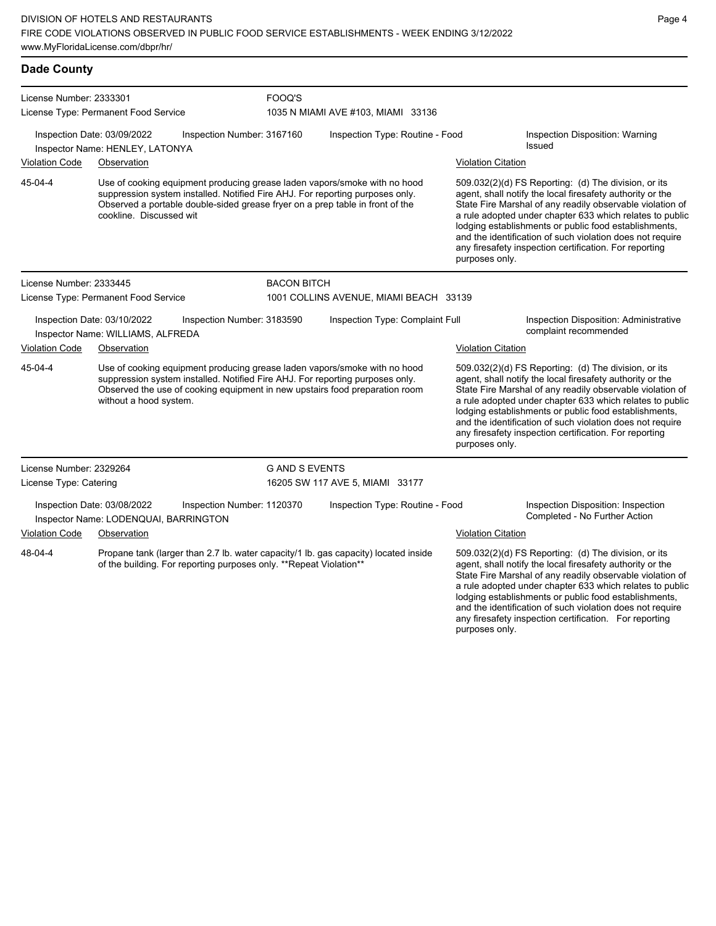| <b>Dade County</b>      |                                                                                                                                                                                                                                                                     |                                                                                                                                                                                                                                                               |                                        |                           |                                                                                                                                                                                                                                                                                                                                                                                                                            |  |  |
|-------------------------|---------------------------------------------------------------------------------------------------------------------------------------------------------------------------------------------------------------------------------------------------------------------|---------------------------------------------------------------------------------------------------------------------------------------------------------------------------------------------------------------------------------------------------------------|----------------------------------------|---------------------------|----------------------------------------------------------------------------------------------------------------------------------------------------------------------------------------------------------------------------------------------------------------------------------------------------------------------------------------------------------------------------------------------------------------------------|--|--|
| License Number: 2333301 |                                                                                                                                                                                                                                                                     | FOOQ'S                                                                                                                                                                                                                                                        |                                        |                           |                                                                                                                                                                                                                                                                                                                                                                                                                            |  |  |
|                         | License Type: Permanent Food Service                                                                                                                                                                                                                                |                                                                                                                                                                                                                                                               | 1035 N MIAMI AVE #103, MIAMI 33136     |                           |                                                                                                                                                                                                                                                                                                                                                                                                                            |  |  |
|                         | Inspection Date: 03/09/2022<br>Inspector Name: HENLEY, LATONYA                                                                                                                                                                                                      | Inspection Number: 3167160                                                                                                                                                                                                                                    | Inspection Type: Routine - Food        |                           | Inspection Disposition: Warning<br><b>Issued</b>                                                                                                                                                                                                                                                                                                                                                                           |  |  |
| <b>Violation Code</b>   | Observation                                                                                                                                                                                                                                                         |                                                                                                                                                                                                                                                               |                                        | <b>Violation Citation</b> |                                                                                                                                                                                                                                                                                                                                                                                                                            |  |  |
| 45-04-4                 | cookline. Discussed wit                                                                                                                                                                                                                                             | Use of cooking equipment producing grease laden vapors/smoke with no hood<br>suppression system installed. Notified Fire AHJ. For reporting purposes only.<br>Observed a portable double-sided grease fryer on a prep table in front of the<br>purposes only. |                                        |                           | 509.032(2)(d) FS Reporting: (d) The division, or its<br>agent, shall notify the local firesafety authority or the<br>State Fire Marshal of any readily observable violation of<br>a rule adopted under chapter 633 which relates to public<br>lodging establishments or public food establishments,<br>and the identification of such violation does not require<br>any firesafety inspection certification. For reporting |  |  |
| License Number: 2333445 |                                                                                                                                                                                                                                                                     | <b>BACON BITCH</b>                                                                                                                                                                                                                                            |                                        |                           |                                                                                                                                                                                                                                                                                                                                                                                                                            |  |  |
|                         | License Type: Permanent Food Service                                                                                                                                                                                                                                |                                                                                                                                                                                                                                                               | 1001 COLLINS AVENUE, MIAMI BEACH 33139 |                           |                                                                                                                                                                                                                                                                                                                                                                                                                            |  |  |
|                         | Inspection Date: 03/10/2022<br>Inspector Name: WILLIAMS, ALFREDA                                                                                                                                                                                                    | Inspection Number: 3183590                                                                                                                                                                                                                                    | Inspection Type: Complaint Full        |                           | Inspection Disposition: Administrative<br>complaint recommended                                                                                                                                                                                                                                                                                                                                                            |  |  |
| <b>Violation Code</b>   | Observation                                                                                                                                                                                                                                                         |                                                                                                                                                                                                                                                               |                                        | <b>Violation Citation</b> |                                                                                                                                                                                                                                                                                                                                                                                                                            |  |  |
| 45-04-4                 | Use of cooking equipment producing grease laden vapors/smoke with no hood<br>suppression system installed. Notified Fire AHJ. For reporting purposes only.<br>Observed the use of cooking equipment in new upstairs food preparation room<br>without a hood system. |                                                                                                                                                                                                                                                               |                                        | purposes only.            | 509.032(2)(d) FS Reporting: (d) The division, or its<br>agent, shall notify the local firesafety authority or the<br>State Fire Marshal of any readily observable violation of<br>a rule adopted under chapter 633 which relates to public<br>lodging establishments or public food establishments,<br>and the identification of such violation does not require<br>any firesafety inspection certification. For reporting |  |  |
| License Number: 2329264 |                                                                                                                                                                                                                                                                     | <b>GAND SEVENTS</b>                                                                                                                                                                                                                                           |                                        |                           |                                                                                                                                                                                                                                                                                                                                                                                                                            |  |  |
| License Type: Catering  |                                                                                                                                                                                                                                                                     |                                                                                                                                                                                                                                                               | 16205 SW 117 AVE 5, MIAMI 33177        |                           |                                                                                                                                                                                                                                                                                                                                                                                                                            |  |  |
|                         | Inspection Date: 03/08/2022<br>Inspector Name: LODENQUAI, BARRINGTON                                                                                                                                                                                                | Inspection Number: 1120370                                                                                                                                                                                                                                    | Inspection Type: Routine - Food        |                           | Inspection Disposition: Inspection<br>Completed - No Further Action                                                                                                                                                                                                                                                                                                                                                        |  |  |
| <b>Violation Code</b>   | Observation                                                                                                                                                                                                                                                         |                                                                                                                                                                                                                                                               |                                        | <b>Violation Citation</b> |                                                                                                                                                                                                                                                                                                                                                                                                                            |  |  |
| 48-04-4                 | Propane tank (larger than 2.7 lb. water capacity/1 lb. gas capacity) located inside<br>of the building. For reporting purposes only. ** Repeat Violation**                                                                                                          |                                                                                                                                                                                                                                                               |                                        |                           | 509.032(2)(d) FS Reporting: (d) The division, or its<br>agent, shall notify the local firesafety authority or the<br>State Fire Marshal of any readily observable violation of<br>a rule adopted under chapter 633 which relates to public                                                                                                                                                                                 |  |  |

Page 4

lodging establishments or public food establishments, and the identification of such violation does not require any firesafety inspection certification. For reporting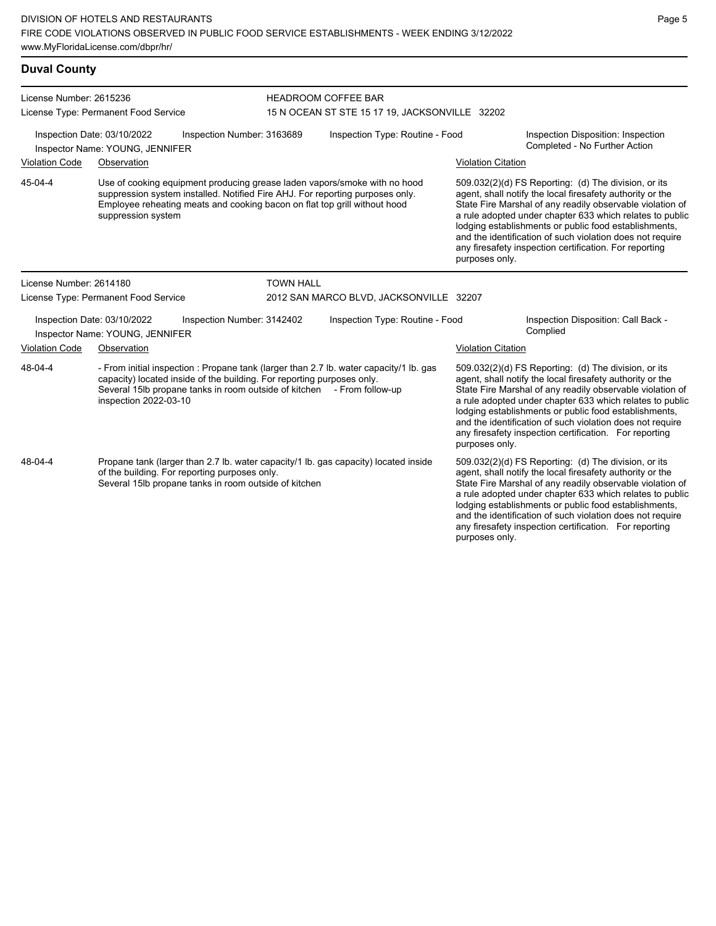| <b>Duval County</b>     |                                                                                                                                                                                                                                                                     |                  |                                                |                           |                                                                                                                                                                                                                                                                                                                                                                                                                            |
|-------------------------|---------------------------------------------------------------------------------------------------------------------------------------------------------------------------------------------------------------------------------------------------------------------|------------------|------------------------------------------------|---------------------------|----------------------------------------------------------------------------------------------------------------------------------------------------------------------------------------------------------------------------------------------------------------------------------------------------------------------------------------------------------------------------------------------------------------------------|
| License Number: 2615236 |                                                                                                                                                                                                                                                                     |                  | <b>HEADROOM COFFEE BAR</b>                     |                           |                                                                                                                                                                                                                                                                                                                                                                                                                            |
|                         | License Type: Permanent Food Service                                                                                                                                                                                                                                |                  | 15 N OCEAN ST STE 15 17 19, JACKSONVILLE 32202 |                           |                                                                                                                                                                                                                                                                                                                                                                                                                            |
|                         | Inspection Date: 03/10/2022<br>Inspection Number: 3163689<br>Inspector Name: YOUNG, JENNIFER                                                                                                                                                                        |                  | Inspection Type: Routine - Food                |                           | Inspection Disposition: Inspection<br>Completed - No Further Action                                                                                                                                                                                                                                                                                                                                                        |
| <b>Violation Code</b>   | Observation                                                                                                                                                                                                                                                         |                  |                                                | <b>Violation Citation</b> |                                                                                                                                                                                                                                                                                                                                                                                                                            |
| 45-04-4                 | Use of cooking equipment producing grease laden vapors/smoke with no hood<br>suppression system installed. Notified Fire AHJ. For reporting purposes only.<br>Employee reheating meats and cooking bacon on flat top grill without hood<br>suppression system       |                  |                                                | purposes only.            | 509.032(2)(d) FS Reporting: (d) The division, or its<br>agent, shall notify the local firesafety authority or the<br>State Fire Marshal of any readily observable violation of<br>a rule adopted under chapter 633 which relates to public<br>lodging establishments or public food establishments,<br>and the identification of such violation does not require<br>any firesafety inspection certification. For reporting |
| License Number: 2614180 |                                                                                                                                                                                                                                                                     | <b>TOWN HALL</b> |                                                |                           |                                                                                                                                                                                                                                                                                                                                                                                                                            |
|                         | License Type: Permanent Food Service                                                                                                                                                                                                                                |                  | 2012 SAN MARCO BLVD, JACKSONVILLE 32207        |                           |                                                                                                                                                                                                                                                                                                                                                                                                                            |
|                         | Inspection Date: 03/10/2022<br>Inspection Number: 3142402<br>Inspector Name: YOUNG, JENNIFER                                                                                                                                                                        |                  | Inspection Type: Routine - Food                |                           | Inspection Disposition: Call Back -<br>Complied                                                                                                                                                                                                                                                                                                                                                                            |
| <b>Violation Code</b>   | Observation                                                                                                                                                                                                                                                         |                  |                                                | <b>Violation Citation</b> |                                                                                                                                                                                                                                                                                                                                                                                                                            |
| 48-04-4                 | - From initial inspection : Propane tank (larger than 2.7 lb. water capacity/1 lb. gas<br>capacity) located inside of the building. For reporting purposes only.<br>Several 15lb propane tanks in room outside of kitchen - From follow-up<br>inspection 2022-03-10 |                  |                                                | purposes only.            | 509.032(2)(d) FS Reporting: (d) The division, or its<br>agent, shall notify the local firesafety authority or the<br>State Fire Marshal of any readily observable violation of<br>a rule adopted under chapter 633 which relates to public<br>lodging establishments or public food establishments,<br>and the identification of such violation does not require<br>any firesafety inspection certification. For reporting |
| 48-04-4                 | Propane tank (larger than 2.7 lb. water capacity/1 lb. gas capacity) located inside<br>of the building. For reporting purposes only.<br>Several 15lb propane tanks in room outside of kitchen                                                                       |                  |                                                |                           | 509.032(2)(d) FS Reporting: (d) The division, or its<br>agent, shall notify the local firesafety authority or the<br>State Fire Marshal of any readily observable violation of<br>a rula adaptad undar abaptar 699 which relates to public                                                                                                                                                                                 |

State Fire Marshal of any readily observable violation of a rule adopted under chapter 633 which relates to public lodging establishments or public food establishments, and the identification of such violation does not require any firesafety inspection certification. For reporting purposes only.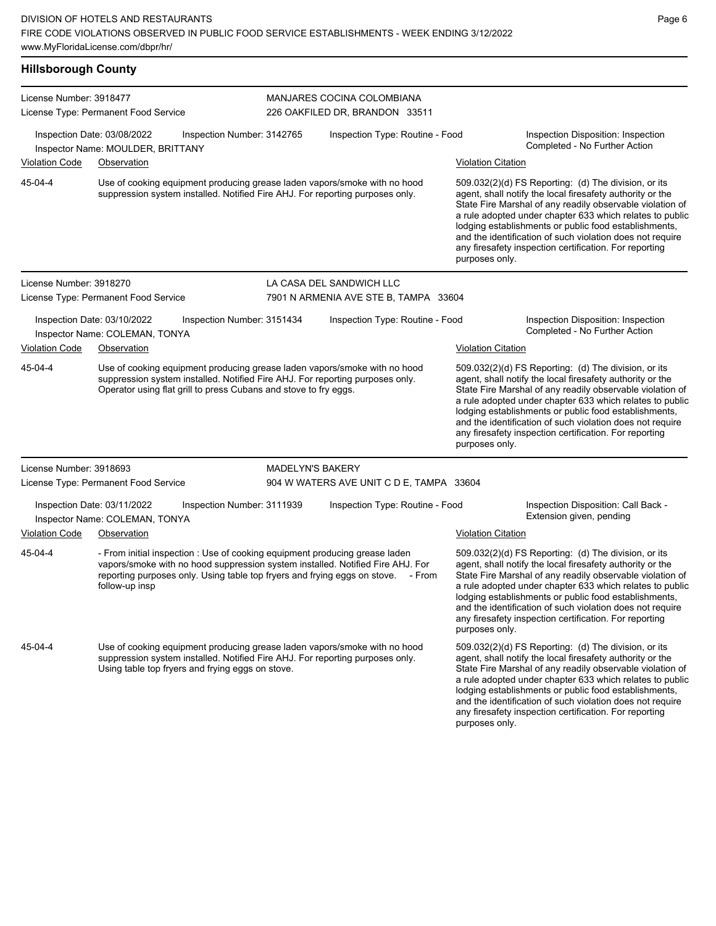### **Hillsborough County**

| License Number: 3918477 |                                                                                                                                                                                                                                                                     |                            | MANJARES COCINA COLOMBIANA               |                           |                                                                                                                                                                                                                                                                                                                                                                                                                            |
|-------------------------|---------------------------------------------------------------------------------------------------------------------------------------------------------------------------------------------------------------------------------------------------------------------|----------------------------|------------------------------------------|---------------------------|----------------------------------------------------------------------------------------------------------------------------------------------------------------------------------------------------------------------------------------------------------------------------------------------------------------------------------------------------------------------------------------------------------------------------|
|                         | License Type: Permanent Food Service                                                                                                                                                                                                                                |                            | 226 OAKFILED DR, BRANDON 33511           |                           |                                                                                                                                                                                                                                                                                                                                                                                                                            |
|                         | Inspection Date: 03/08/2022<br>Inspector Name: MOULDER, BRITTANY                                                                                                                                                                                                    | Inspection Number: 3142765 | Inspection Type: Routine - Food          |                           | Inspection Disposition: Inspection<br>Completed - No Further Action                                                                                                                                                                                                                                                                                                                                                        |
| <b>Violation Code</b>   | Observation                                                                                                                                                                                                                                                         |                            |                                          | <b>Violation Citation</b> |                                                                                                                                                                                                                                                                                                                                                                                                                            |
| 45-04-4                 | Use of cooking equipment producing grease laden vapors/smoke with no hood<br>suppression system installed. Notified Fire AHJ. For reporting purposes only.                                                                                                          |                            |                                          | purposes only.            | 509.032(2)(d) FS Reporting: (d) The division, or its<br>agent, shall notify the local firesafety authority or the<br>State Fire Marshal of any readily observable violation of<br>a rule adopted under chapter 633 which relates to public<br>lodging establishments or public food establishments,<br>and the identification of such violation does not require<br>any firesafety inspection certification. For reporting |
| License Number: 3918270 |                                                                                                                                                                                                                                                                     |                            | LA CASA DEL SANDWICH LLC                 |                           |                                                                                                                                                                                                                                                                                                                                                                                                                            |
|                         | License Type: Permanent Food Service                                                                                                                                                                                                                                |                            | 7901 N ARMENIA AVE STE B, TAMPA 33604    |                           |                                                                                                                                                                                                                                                                                                                                                                                                                            |
|                         | Inspection Date: 03/10/2022<br>Inspector Name: COLEMAN, TONYA                                                                                                                                                                                                       | Inspection Number: 3151434 | Inspection Type: Routine - Food          |                           | Inspection Disposition: Inspection<br>Completed - No Further Action                                                                                                                                                                                                                                                                                                                                                        |
| <b>Violation Code</b>   | Observation                                                                                                                                                                                                                                                         |                            |                                          | <b>Violation Citation</b> |                                                                                                                                                                                                                                                                                                                                                                                                                            |
| 45-04-4                 | Use of cooking equipment producing grease laden vapors/smoke with no hood<br>suppression system installed. Notified Fire AHJ. For reporting purposes only.<br>Operator using flat grill to press Cubans and stove to fry eggs.                                      |                            |                                          | purposes only.            | 509.032(2)(d) FS Reporting: (d) The division, or its<br>agent, shall notify the local firesafety authority or the<br>State Fire Marshal of any readily observable violation of<br>a rule adopted under chapter 633 which relates to public<br>lodging establishments or public food establishments,<br>and the identification of such violation does not require<br>any firesafety inspection certification. For reporting |
| License Number: 3918693 |                                                                                                                                                                                                                                                                     | <b>MADELYN'S BAKERY</b>    |                                          |                           |                                                                                                                                                                                                                                                                                                                                                                                                                            |
|                         | License Type: Permanent Food Service                                                                                                                                                                                                                                |                            | 904 W WATERS AVE UNIT C D E, TAMPA 33604 |                           |                                                                                                                                                                                                                                                                                                                                                                                                                            |
|                         | Inspection Date: 03/11/2022<br>Inspector Name: COLEMAN, TONYA                                                                                                                                                                                                       | Inspection Number: 3111939 | Inspection Type: Routine - Food          |                           | Inspection Disposition: Call Back -<br>Extension given, pending                                                                                                                                                                                                                                                                                                                                                            |
| <b>Violation Code</b>   | Observation                                                                                                                                                                                                                                                         |                            |                                          | <b>Violation Citation</b> |                                                                                                                                                                                                                                                                                                                                                                                                                            |
| 45-04-4                 | - From initial inspection : Use of cooking equipment producing grease laden<br>vapors/smoke with no hood suppression system installed. Notified Fire AHJ. For<br>reporting purposes only. Using table top fryers and frying eggs on stove. - From<br>follow-up insp |                            |                                          | purposes only.            | 509.032(2)(d) FS Reporting: (d) The division, or its<br>agent, shall notify the local firesafety authority or the<br>State Fire Marshal of any readily observable violation of<br>a rule adopted under chapter 633 which relates to public<br>lodging establishments or public food establishments,<br>and the identification of such violation does not require<br>any firesafety inspection certification. For reporting |
| 45-04-4                 | Use of cooking equipment producing grease laden vapors/smoke with no hood<br>suppression system installed. Notified Fire AHJ. For reporting purposes only.<br>Using table top fryers and frying eggs on stove.                                                      |                            |                                          | purposes only.            | 509.032(2)(d) FS Reporting: (d) The division, or its<br>agent, shall notify the local firesafety authority or the<br>State Fire Marshal of any readily observable violation of<br>a rule adopted under chapter 633 which relates to public<br>lodging establishments or public food establishments,<br>and the identification of such violation does not require<br>any firesafety inspection certification. For reporting |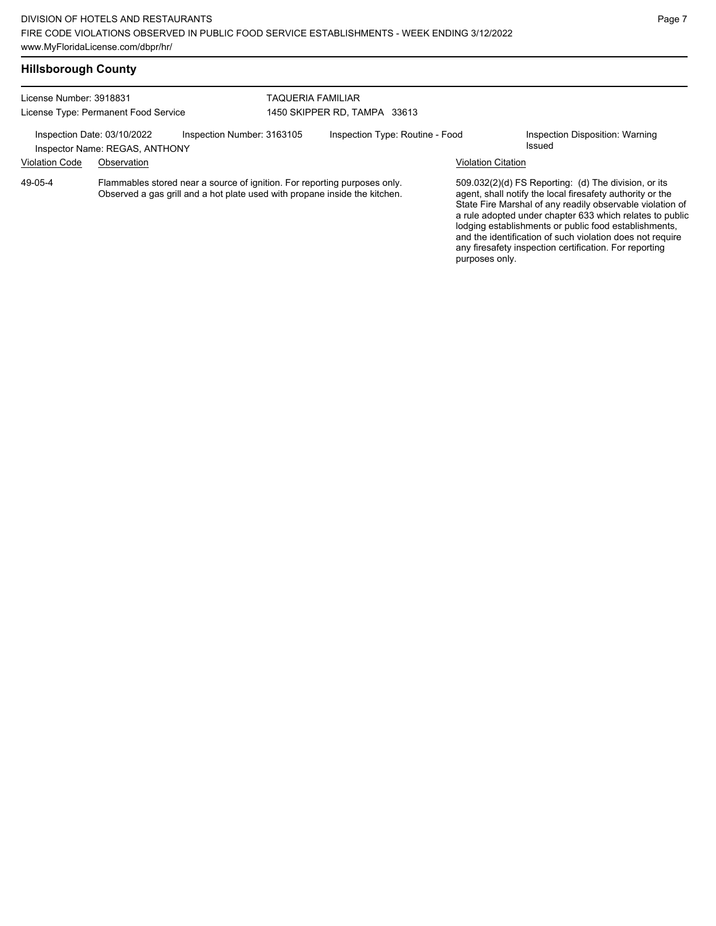| License Number: 3918831 |                                                               |                                                                                                                                                         | TAQUERIA FAMILIAR |                                 |                           |                                                                                                                                                                                                                                                                                                                                                                  |
|-------------------------|---------------------------------------------------------------|---------------------------------------------------------------------------------------------------------------------------------------------------------|-------------------|---------------------------------|---------------------------|------------------------------------------------------------------------------------------------------------------------------------------------------------------------------------------------------------------------------------------------------------------------------------------------------------------------------------------------------------------|
|                         | License Type: Permanent Food Service                          |                                                                                                                                                         |                   | 1450 SKIPPER RD, TAMPA 33613    |                           |                                                                                                                                                                                                                                                                                                                                                                  |
|                         | Inspection Date: 03/10/2022<br>Inspector Name: REGAS, ANTHONY | Inspection Number: 3163105                                                                                                                              |                   | Inspection Type: Routine - Food |                           | Inspection Disposition: Warning<br>Issued                                                                                                                                                                                                                                                                                                                        |
| <b>Violation Code</b>   | Observation                                                   |                                                                                                                                                         |                   |                                 | <b>Violation Citation</b> |                                                                                                                                                                                                                                                                                                                                                                  |
| 49-05-4                 |                                                               | Flammables stored near a source of ignition. For reporting purposes only.<br>Observed a gas grill and a hot plate used with propane inside the kitchen. |                   |                                 |                           | 509.032(2)(d) FS Reporting: (d) The division, or its<br>agent, shall notify the local firesafety authority or the<br>State Fire Marshal of any readily observable violation of<br>a rule adopted under chapter 633 which relates to public<br>lodging establishments or public food establishments,<br>and the identification of such violation does not require |

any firesafety inspection certification. For reporting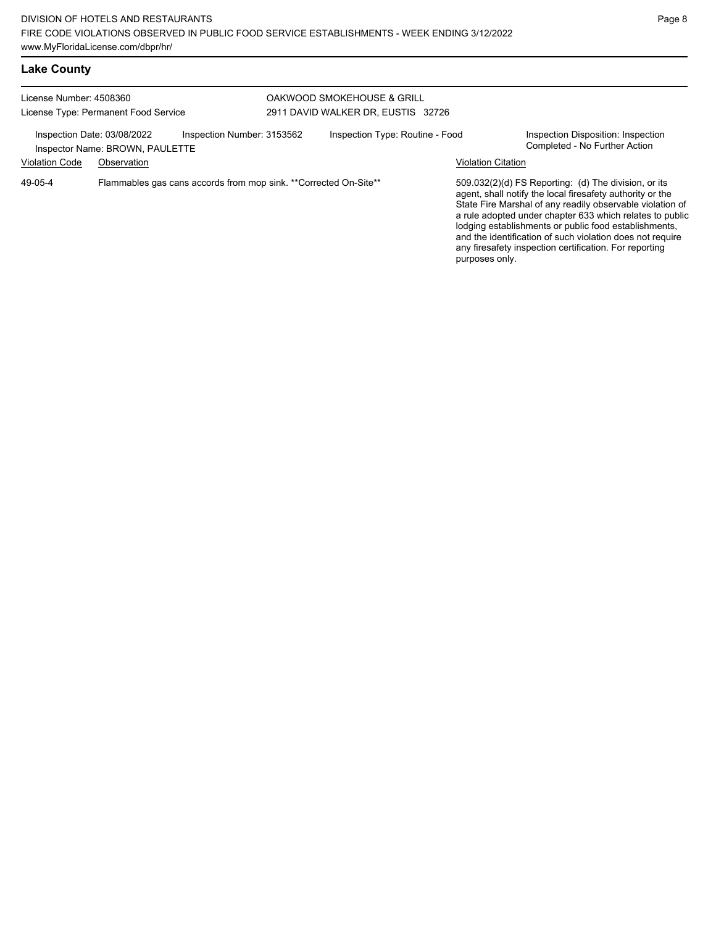## **Lake County**

| License Number: 4508360<br>License Type: Permanent Food Service |                                                                               |                                                                  | OAKWOOD SMOKEHOUSE & GRILL<br>2911 DAVID WALKER DR, EUSTIS 32726 |                           |                                                                                                                                                                                                                                                                                                                                                                                                                            |
|-----------------------------------------------------------------|-------------------------------------------------------------------------------|------------------------------------------------------------------|------------------------------------------------------------------|---------------------------|----------------------------------------------------------------------------------------------------------------------------------------------------------------------------------------------------------------------------------------------------------------------------------------------------------------------------------------------------------------------------------------------------------------------------|
| <b>Violation Code</b>                                           | Inspection Date: 03/08/2022<br>Inspector Name: BROWN, PAULETTE<br>Observation | Inspection Number: 3153562                                       | Inspection Type: Routine - Food                                  | <b>Violation Citation</b> | Inspection Disposition: Inspection<br>Completed - No Further Action                                                                                                                                                                                                                                                                                                                                                        |
| 49-05-4                                                         |                                                                               | Flammables gas cans accords from mop sink. **Corrected On-Site** |                                                                  | purposes only.            | 509.032(2)(d) FS Reporting: (d) The division, or its<br>agent, shall notify the local firesafety authority or the<br>State Fire Marshal of any readily observable violation of<br>a rule adopted under chapter 633 which relates to public<br>lodging establishments or public food establishments,<br>and the identification of such violation does not require<br>any firesafety inspection certification. For reporting |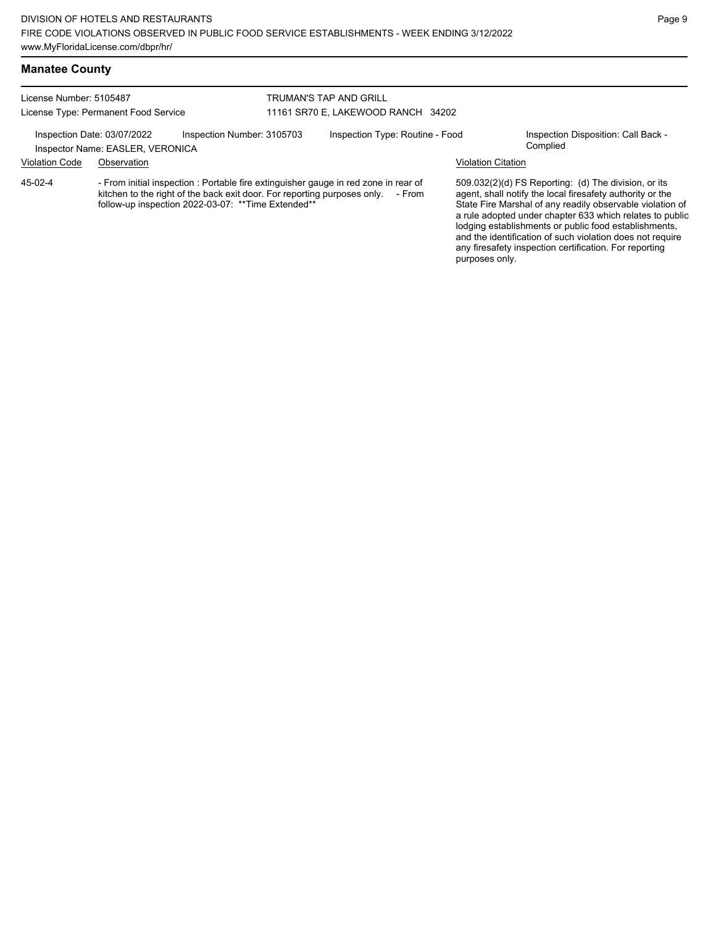#### **Manatee County**

| License Number: 5105487              |                                                                 | <b>TRUMAN'S TAP AND GRILL</b>                                                                                                  |                                                                                               |                           |                                                                                                                                                                                                                                                                                                                                                                  |  |
|--------------------------------------|-----------------------------------------------------------------|--------------------------------------------------------------------------------------------------------------------------------|-----------------------------------------------------------------------------------------------|---------------------------|------------------------------------------------------------------------------------------------------------------------------------------------------------------------------------------------------------------------------------------------------------------------------------------------------------------------------------------------------------------|--|
| License Type: Permanent Food Service |                                                                 | 11161 SR70 E, LAKEWOOD RANCH 34202                                                                                             |                                                                                               |                           |                                                                                                                                                                                                                                                                                                                                                                  |  |
|                                      | Inspection Date: 03/07/2022<br>Inspector Name: EASLER, VERONICA | Inspection Number: 3105703                                                                                                     | Inspection Type: Routine - Food                                                               |                           | Inspection Disposition: Call Back -<br>Complied                                                                                                                                                                                                                                                                                                                  |  |
| <b>Violation Code</b>                | Observation                                                     |                                                                                                                                |                                                                                               | <b>Violation Citation</b> |                                                                                                                                                                                                                                                                                                                                                                  |  |
| 45-02-4                              |                                                                 | kitchen to the right of the back exit door. For reporting purposes only.<br>follow-up inspection 2022-03-07: **Time Extended** | - From initial inspection : Portable fire extinguisher gauge in red zone in rear of<br>- From |                           | 509.032(2)(d) FS Reporting: (d) The division, or its<br>agent, shall notify the local firesafety authority or the<br>State Fire Marshal of any readily observable violation of<br>a rule adopted under chapter 633 which relates to public<br>lodging establishments or public food establishments,<br>and the identification of such violation does not require |  |

any firesafety inspection certification. For reporting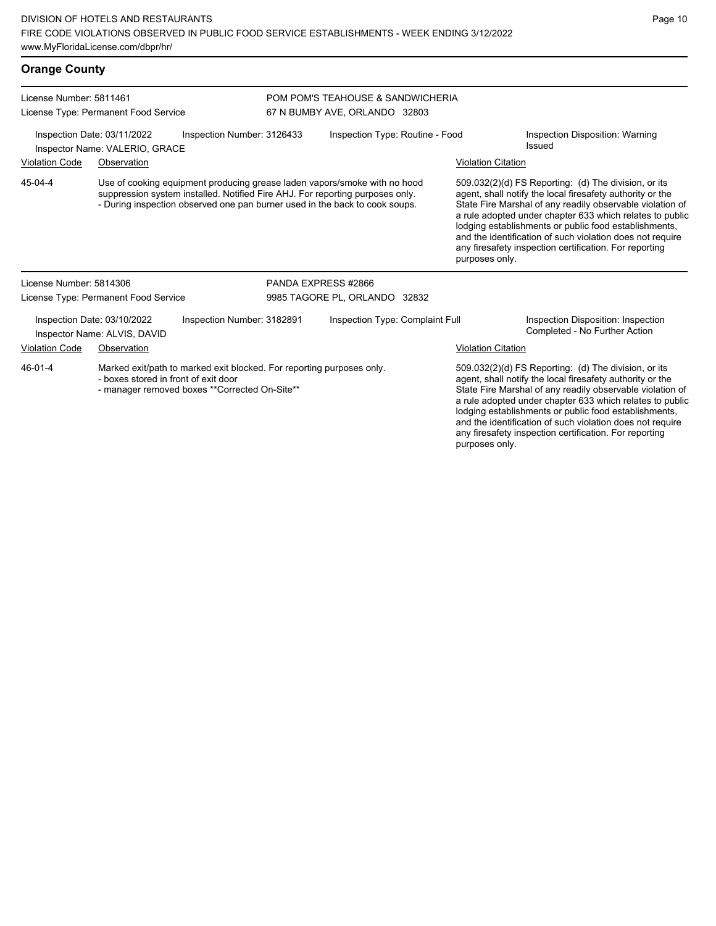| <b>Orange County</b>    |                                                                                                                                                                                                                                           |                            |                                                                    |                           |                                                                                                                                                                                                                                                                                                                                                                                                                            |
|-------------------------|-------------------------------------------------------------------------------------------------------------------------------------------------------------------------------------------------------------------------------------------|----------------------------|--------------------------------------------------------------------|---------------------------|----------------------------------------------------------------------------------------------------------------------------------------------------------------------------------------------------------------------------------------------------------------------------------------------------------------------------------------------------------------------------------------------------------------------------|
| License Number: 5811461 | License Type: Permanent Food Service                                                                                                                                                                                                      |                            | POM POM'S TEAHOUSE & SANDWICHERIA<br>67 N BUMBY AVE, ORLANDO 32803 |                           |                                                                                                                                                                                                                                                                                                                                                                                                                            |
|                         | Inspection Date: 03/11/2022<br>Inspector Name: VALERIO, GRACE                                                                                                                                                                             | Inspection Number: 3126433 | Inspection Type: Routine - Food                                    |                           | Inspection Disposition: Warning<br>Issued                                                                                                                                                                                                                                                                                                                                                                                  |
| <b>Violation Code</b>   | Observation                                                                                                                                                                                                                               |                            |                                                                    | <b>Violation Citation</b> |                                                                                                                                                                                                                                                                                                                                                                                                                            |
| 45-04-4                 | Use of cooking equipment producing grease laden vapors/smoke with no hood<br>suppression system installed. Notified Fire AHJ. For reporting purposes only.<br>- During inspection observed one pan burner used in the back to cook soups. |                            |                                                                    | purposes only.            | 509.032(2)(d) FS Reporting: (d) The division, or its<br>agent, shall notify the local firesafety authority or the<br>State Fire Marshal of any readily observable violation of<br>a rule adopted under chapter 633 which relates to public<br>lodging establishments or public food establishments,<br>and the identification of such violation does not require<br>any firesafety inspection certification. For reporting |
| License Number: 5814306 |                                                                                                                                                                                                                                           |                            | PANDA EXPRESS #2866                                                |                           |                                                                                                                                                                                                                                                                                                                                                                                                                            |
|                         | License Type: Permanent Food Service                                                                                                                                                                                                      |                            | 9985 TAGORE PL, ORLANDO 32832                                      |                           |                                                                                                                                                                                                                                                                                                                                                                                                                            |
|                         | Inspection Date: 03/10/2022<br>Inspector Name: ALVIS, DAVID                                                                                                                                                                               | Inspection Number: 3182891 | Inspection Type: Complaint Full                                    |                           | Inspection Disposition: Inspection<br>Completed - No Further Action                                                                                                                                                                                                                                                                                                                                                        |
| <b>Violation Code</b>   | Observation                                                                                                                                                                                                                               |                            |                                                                    | <b>Violation Citation</b> |                                                                                                                                                                                                                                                                                                                                                                                                                            |
| 46-01-4                 | Marked exit/path to marked exit blocked. For reporting purposes only.<br>- boxes stored in front of exit door<br>- manager removed boxes **Corrected On-Site**                                                                            |                            |                                                                    |                           | 509.032(2)(d) FS Reporting: (d) The division, or its<br>agent, shall notify the local firesafety authority or the<br>State Fire Marshal of any readily observable violation of<br>a rule adopted under chapter 633 which relates to public                                                                                                                                                                                 |

lodging establishments or public food establishments, and the identification of such violation does not require any firesafety inspection certification. For reporting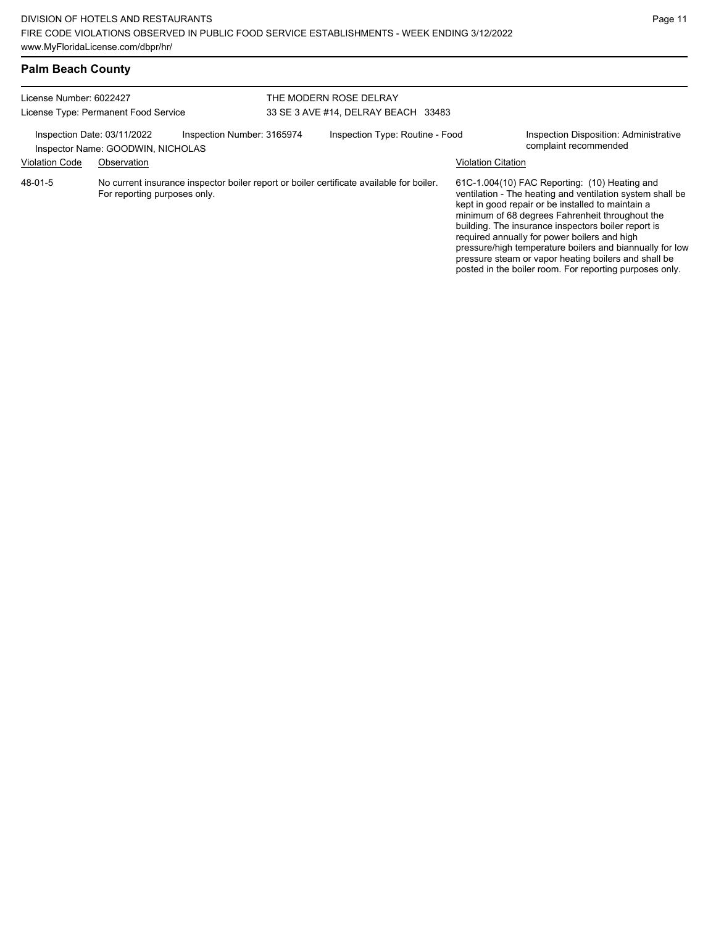| <b>Palm Beach County</b> |  |
|--------------------------|--|
|--------------------------|--|

| License Number: 6022427<br>License Type: Permanent Food Service |                                                                  |                                                                                          | THE MODERN ROSE DELRAY<br>33 SE 3 AVE #14, DELRAY BEACH 33483 |                           |                                                                                                                                                                                                                                                                                                                                                                                                                                                                                                          |
|-----------------------------------------------------------------|------------------------------------------------------------------|------------------------------------------------------------------------------------------|---------------------------------------------------------------|---------------------------|----------------------------------------------------------------------------------------------------------------------------------------------------------------------------------------------------------------------------------------------------------------------------------------------------------------------------------------------------------------------------------------------------------------------------------------------------------------------------------------------------------|
|                                                                 | Inspection Date: 03/11/2022<br>Inspector Name: GOODWIN, NICHOLAS | Inspection Number: 3165974                                                               | Inspection Type: Routine - Food                               |                           | Inspection Disposition: Administrative<br>complaint recommended                                                                                                                                                                                                                                                                                                                                                                                                                                          |
| <b>Violation Code</b>                                           | Observation                                                      |                                                                                          |                                                               | <b>Violation Citation</b> |                                                                                                                                                                                                                                                                                                                                                                                                                                                                                                          |
| 48-01-5                                                         | For reporting purposes only.                                     | No current insurance inspector boiler report or boiler certificate available for boiler. |                                                               |                           | 61C-1.004(10) FAC Reporting: (10) Heating and<br>ventilation - The heating and ventilation system shall be<br>kept in good repair or be installed to maintain a<br>minimum of 68 degrees Fahrenheit throughout the<br>building. The insurance inspectors boiler report is<br>required annually for power boilers and high<br>pressure/high temperature boilers and biannually for low<br>pressure steam or vapor heating boilers and shall be<br>posted in the boiler room. For reporting purposes only. |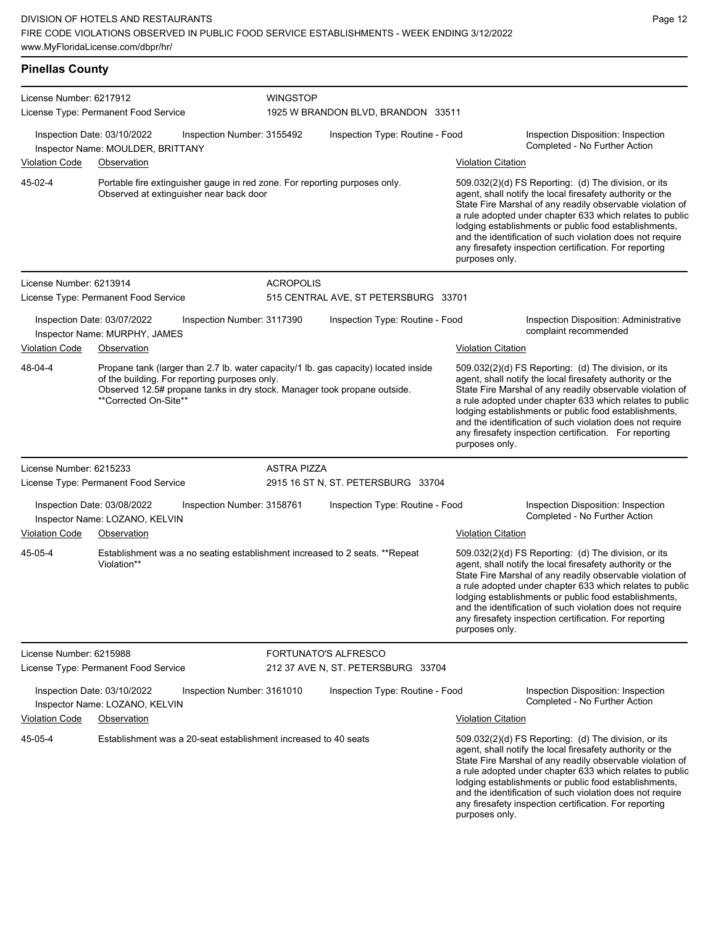| <b>Pinellas County</b>                                                                         |                                                                                                                                                                                                                                           |                                                       |                    |                                    |                                                                     |                                                                                                                                                                                                                                                                                                                                                                                                                                              |  |  |
|------------------------------------------------------------------------------------------------|-------------------------------------------------------------------------------------------------------------------------------------------------------------------------------------------------------------------------------------------|-------------------------------------------------------|--------------------|------------------------------------|---------------------------------------------------------------------|----------------------------------------------------------------------------------------------------------------------------------------------------------------------------------------------------------------------------------------------------------------------------------------------------------------------------------------------------------------------------------------------------------------------------------------------|--|--|
| License Number: 6217912<br>License Type: Permanent Food Service                                |                                                                                                                                                                                                                                           | <b>WINGSTOP</b><br>1925 W BRANDON BLVD, BRANDON 33511 |                    |                                    |                                                                     |                                                                                                                                                                                                                                                                                                                                                                                                                                              |  |  |
| Inspection Date: 03/10/2022<br>Inspection Number: 3155492<br>Inspector Name: MOULDER, BRITTANY |                                                                                                                                                                                                                                           | Inspection Type: Routine - Food                       |                    |                                    | Inspection Disposition: Inspection<br>Completed - No Further Action |                                                                                                                                                                                                                                                                                                                                                                                                                                              |  |  |
| <b>Violation Code</b>                                                                          | Observation                                                                                                                                                                                                                               |                                                       |                    |                                    | <b>Violation Citation</b>                                           |                                                                                                                                                                                                                                                                                                                                                                                                                                              |  |  |
| 45-02-4                                                                                        | Portable fire extinguisher gauge in red zone. For reporting purposes only.<br>Observed at extinguisher near back door                                                                                                                     |                                                       |                    |                                    |                                                                     | 509.032(2)(d) FS Reporting: (d) The division, or its<br>agent, shall notify the local firesafety authority or the<br>State Fire Marshal of any readily observable violation of<br>a rule adopted under chapter 633 which relates to public<br>lodging establishments or public food establishments,<br>and the identification of such violation does not require<br>any firesafety inspection certification. For reporting<br>purposes only. |  |  |
| License Number: 6213914                                                                        |                                                                                                                                                                                                                                           |                                                       | <b>ACROPOLIS</b>   |                                    |                                                                     |                                                                                                                                                                                                                                                                                                                                                                                                                                              |  |  |
| License Type: Permanent Food Service                                                           |                                                                                                                                                                                                                                           | 515 CENTRAL AVE, ST PETERSBURG 33701                  |                    |                                    |                                                                     |                                                                                                                                                                                                                                                                                                                                                                                                                                              |  |  |
|                                                                                                | Inspection Date: 03/07/2022<br>Inspector Name: MURPHY, JAMES                                                                                                                                                                              | Inspection Number: 3117390                            |                    | Inspection Type: Routine - Food    |                                                                     | Inspection Disposition: Administrative<br>complaint recommended                                                                                                                                                                                                                                                                                                                                                                              |  |  |
| <b>Violation Code</b>                                                                          | Observation                                                                                                                                                                                                                               |                                                       |                    |                                    | <b>Violation Citation</b>                                           |                                                                                                                                                                                                                                                                                                                                                                                                                                              |  |  |
| 48-04-4                                                                                        | Propane tank (larger than 2.7 lb. water capacity/1 lb. gas capacity) located inside<br>of the building. For reporting purposes only.<br>Observed 12.5# propane tanks in dry stock. Manager took propane outside.<br>**Corrected On-Site** |                                                       |                    |                                    |                                                                     | 509.032(2)(d) FS Reporting: (d) The division, or its<br>agent, shall notify the local firesafety authority or the<br>State Fire Marshal of any readily observable violation of<br>a rule adopted under chapter 633 which relates to public<br>lodging establishments or public food establishments,<br>and the identification of such violation does not require<br>any firesafety inspection certification. For reporting<br>purposes only. |  |  |
| License Number: 6215233                                                                        |                                                                                                                                                                                                                                           |                                                       | <b>ASTRA PIZZA</b> |                                    |                                                                     |                                                                                                                                                                                                                                                                                                                                                                                                                                              |  |  |
|                                                                                                | License Type: Permanent Food Service                                                                                                                                                                                                      |                                                       |                    | 2915 16 ST N, ST. PETERSBURG 33704 |                                                                     |                                                                                                                                                                                                                                                                                                                                                                                                                                              |  |  |
|                                                                                                | Inspection Date: 03/08/2022<br>Inspector Name: LOZANO, KELVIN                                                                                                                                                                             | Inspection Number: 3158761                            |                    | Inspection Type: Routine - Food    |                                                                     | Inspection Disposition: Inspection<br>Completed - No Further Action                                                                                                                                                                                                                                                                                                                                                                          |  |  |
| <b>Violation Code</b>                                                                          | Observation                                                                                                                                                                                                                               |                                                       |                    |                                    | <b>Violation Citation</b>                                           |                                                                                                                                                                                                                                                                                                                                                                                                                                              |  |  |
| 45-05-4                                                                                        | Establishment was a no seating establishment increased to 2 seats. ** Repeat<br>Violation**                                                                                                                                               |                                                       |                    |                                    |                                                                     | 509.032(2)(d) FS Reporting: (d) The division, or its<br>agent, shall notify the local firesafety authority or the<br>State Fire Marshal of any readily observable violation of<br>a rule adopted under chapter 633 which relates to public<br>lodging establishments or public food establishments,<br>and the identification of such violation does not require<br>any firesafety inspection certification. For reporting<br>purposes only. |  |  |
| License Number: 6215988                                                                        |                                                                                                                                                                                                                                           |                                                       |                    | <b>FORTUNATO'S ALFRESCO</b>        |                                                                     |                                                                                                                                                                                                                                                                                                                                                                                                                                              |  |  |
|                                                                                                | License Type: Permanent Food Service                                                                                                                                                                                                      |                                                       |                    | 212 37 AVE N, ST. PETERSBURG 33704 |                                                                     |                                                                                                                                                                                                                                                                                                                                                                                                                                              |  |  |
|                                                                                                | Inspection Date: 03/10/2022<br>Inspector Name: LOZANO, KELVIN                                                                                                                                                                             | Inspection Number: 3161010                            |                    | Inspection Type: Routine - Food    |                                                                     | Inspection Disposition: Inspection<br>Completed - No Further Action                                                                                                                                                                                                                                                                                                                                                                          |  |  |
| <b>Violation Code</b>                                                                          | Observation                                                                                                                                                                                                                               |                                                       |                    |                                    | <b>Violation Citation</b>                                           |                                                                                                                                                                                                                                                                                                                                                                                                                                              |  |  |

Establishment was a 20-seat establishment increased to 40 seats 509.032(2)(d) FS Reporting: (d) The division, or its 45-05-4

agent, shall notify the local firesafety authority or the State Fire Marshal of any readily observable violation of a rule adopted under chapter 633 which relates to public lodging establishments or public food establishments, and the identification of such violation does not require any firesafety inspection certification. For reporting purposes only.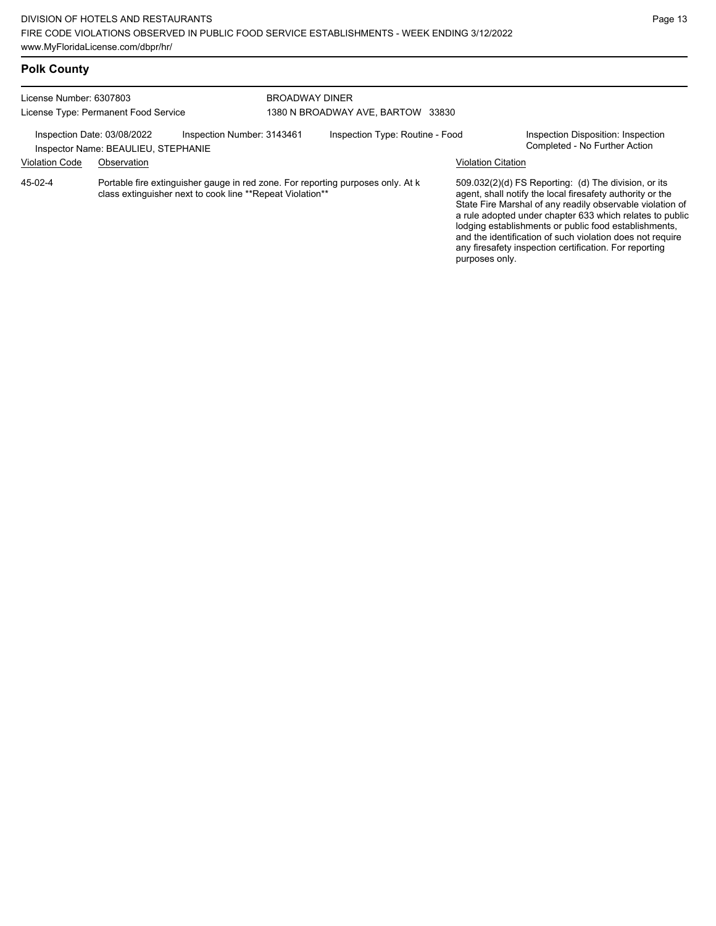| License Number: 6307803<br>License Type: Permanent Food Service |                                                                    |                            | <b>BROADWAY DINER</b><br>1380 N BROADWAY AVE, BARTOW 33830                                                                                   |                                 |                           |                                                                                                                                                                                                                                                                                                                                                                                                                            |  |
|-----------------------------------------------------------------|--------------------------------------------------------------------|----------------------------|----------------------------------------------------------------------------------------------------------------------------------------------|---------------------------------|---------------------------|----------------------------------------------------------------------------------------------------------------------------------------------------------------------------------------------------------------------------------------------------------------------------------------------------------------------------------------------------------------------------------------------------------------------------|--|
|                                                                 | Inspection Date: 03/08/2022<br>Inspector Name: BEAULIEU, STEPHANIE | Inspection Number: 3143461 |                                                                                                                                              | Inspection Type: Routine - Food |                           | Inspection Disposition: Inspection<br>Completed - No Further Action                                                                                                                                                                                                                                                                                                                                                        |  |
| <b>Violation Code</b>                                           | Observation                                                        |                            |                                                                                                                                              |                                 | <b>Violation Citation</b> |                                                                                                                                                                                                                                                                                                                                                                                                                            |  |
| $45-02-4$                                                       |                                                                    |                            | Portable fire extinguisher gauge in red zone. For reporting purposes only. At k<br>class extinguisher next to cook line **Repeat Violation** |                                 |                           | 509.032(2)(d) FS Reporting: (d) The division, or its<br>agent, shall notify the local firesafety authority or the<br>State Fire Marshal of any readily observable violation of<br>a rule adopted under chapter 633 which relates to public<br>lodging establishments or public food establishments,<br>and the identification of such violation does not require<br>any firesafety inspection certification. For reporting |  |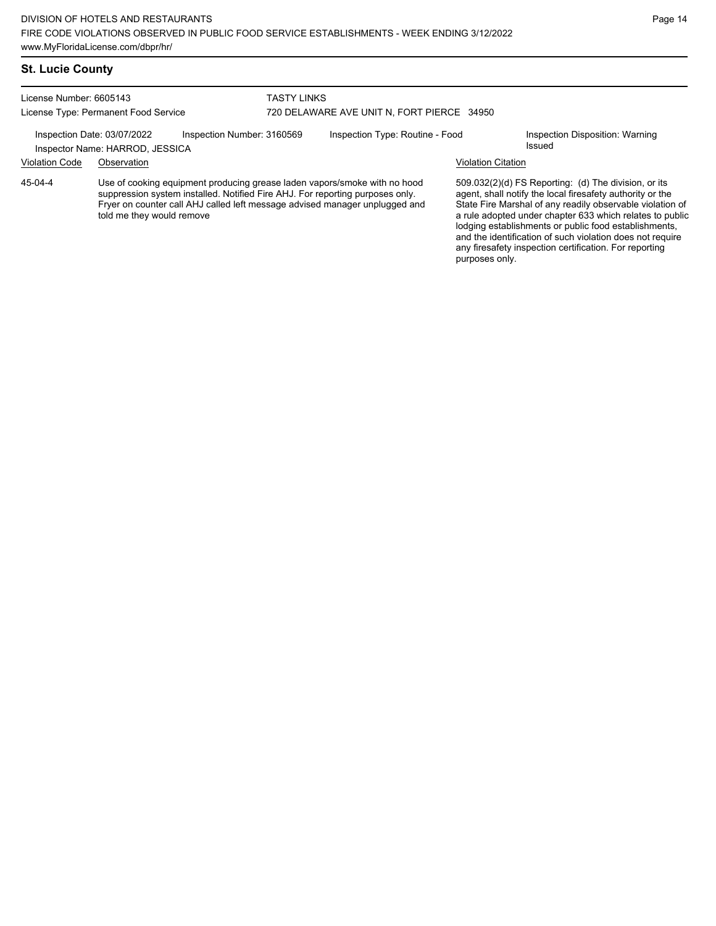#### **St. Lucie County**

License Number: 6605143 License Type: Permanent Food Service

#### TASTY LINKS 720 DELAWARE AVE UNIT N, FORT PIERCE 34950

Inspection Date: 03/07/2022 Inspection Number: 3160569 Inspection Type: Routine - Food Inspection Disposition: Warning

Inspector Name: HARROD, JESSICA

Violation Code Observation Violation Citation

Use of cooking equipment producing grease laden vapors/smoke with no hood suppression system installed. Notified Fire AHJ. For reporting purposes only. Fryer on counter call AHJ called left message advised manager unplugged and told me they would remove 45-04-4

509.032(2)(d) FS Reporting: (d) The division, or its agent, shall notify the local firesafety authority or the State Fire Marshal of any readily observable violation of a rule adopted under chapter 633 which relates to public lodging establishments or public food establishments, and the identification of such violation does not require any firesafety inspection certification. For reporting purposes only.